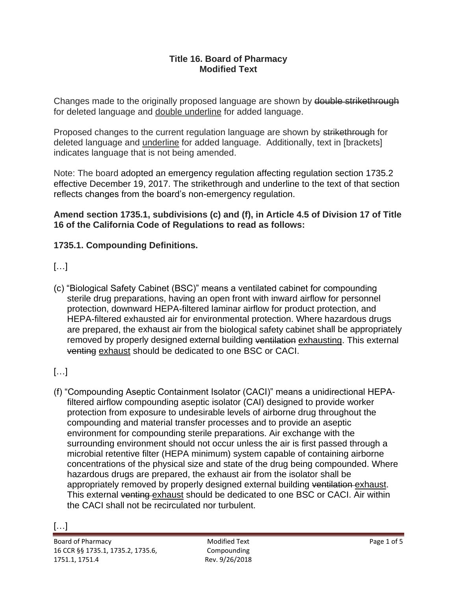#### **Title 16. Board of Pharmacy Modified Text**

Changes made to the originally proposed language are shown by double strikethrough for deleted language and double underline for added language.

Proposed changes to the current regulation language are shown by strikethrough for deleted language and underline for added language. Additionally, text in [brackets] indicates language that is not being amended.

Note: The board adopted an emergency regulation affecting regulation section 1735.2 effective December 19, 2017. The strikethrough and underline to the text of that section reflects changes from the board's non-emergency regulation.

**Amend section 1735.1, subdivisions (c) and (f), in Article 4.5 of Division 17 of Title 16 of the California Code of Regulations to read as follows:** 

#### **1735.1. Compounding Definitions.**

### $[...]$

venting exhaust should be dedicated to one BSC or CACI. (c) "Biological Safety Cabinet (BSC)" means a ventilated cabinet for compounding sterile drug preparations, having an open front with inward airflow for personnel protection, downward HEPA-filtered laminar airflow for product protection, and HEPA-filtered exhausted air for environmental protection. Where hazardous drugs are prepared, the exhaust air from the biological safety cabinet shall be appropriately removed by properly designed external building ventilation exhausting. This external

## […]

(f) "Compounding Aseptic Containment Isolator (CACI)" means a unidirectional HEPAfiltered airflow compounding aseptic isolator (CAI) designed to provide worker protection from exposure to undesirable levels of airborne drug throughout the compounding and material transfer processes and to provide an aseptic environment for compounding sterile preparations. Air exchange with the surrounding environment should not occur unless the air is first passed through a microbial retentive filter (HEPA minimum) system capable of containing airborne concentrations of the physical size and state of the drug being compounded. Where hazardous drugs are prepared, the exhaust air from the isolator shall be appropriately removed by properly designed external building ventilation exhaust. This external venting exhaust should be dedicated to one BSC or CACI. Air within the CACI shall not be recirculated nor turbulent.

Modified Text Compounding Rev. 9/26/2018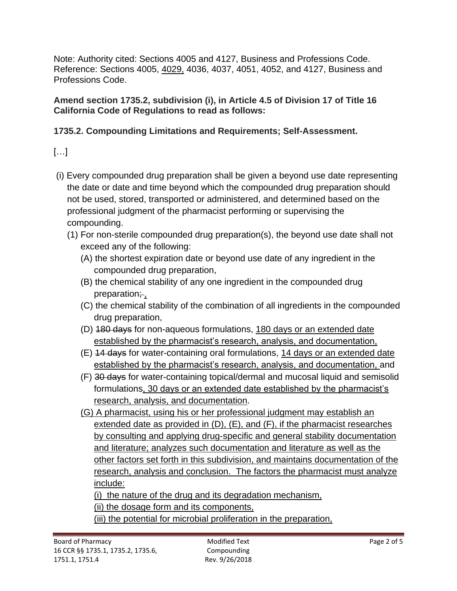Note: Authority cited: Sections 4005 and 4127, Business and Professions Code. Reference: Sections 4005, 4029, 4036, 4037, 4051, 4052, and 4127, Business and Professions Code.

**Amend section 1735.2, subdivision (i), in Article 4.5 of Division 17 of Title 16 California Code of Regulations to read as follows:** 

## **1735.2. Compounding Limitations and Requirements; Self-Assessment.**

# […]

- (i) Every compounded drug preparation shall be given a beyond use date representing the date or date and time beyond which the compounded drug preparation should not be used, stored, transported or administered, and determined based on the professional judgment of the pharmacist performing or supervising the compounding.
	- (1) For non-sterile compounded drug preparation(s), the beyond use date shall not exceed any of the following:
		- (A) the shortest expiration date or beyond use date of any ingredient in the compounded drug preparation,
		- (B) the chemical stability of any one ingredient in the compounded drug preparation; ,
		- (C) the chemical stability of the combination of all ingredients in the compounded drug preparation,
		- (D) 180 days for non-aqueous formulations, 180 days or an extended date established by the pharmacist's research, analysis, and documentation,
		- (E) 14 days for water-containing oral formulations, 14 days or an extended date established by the pharmacist's research, analysis, and documentation, and
		- (F) 30 days for water-containing topical/dermal and mucosal liquid and semisolid formulations, 30 days or an extended date established by the pharmacist's research, analysis, and documentation.
		- (G) A pharmacist, using his or her professional judgment may establish an extended date as provided in (D), (E), and (F), if the pharmacist researches by consulting and applying drug-specific and general stability documentation and literature; analyzes such documentation and literature as well as the other factors set forth in this subdivision, and maintains documentation of the research, analysis and conclusion. The factors the pharmacist must analyze include:

(i) the nature of the drug and its degradation mechanism,

(ii) the dosage form and its components,

(iii) the potential for microbial proliferation in the preparation,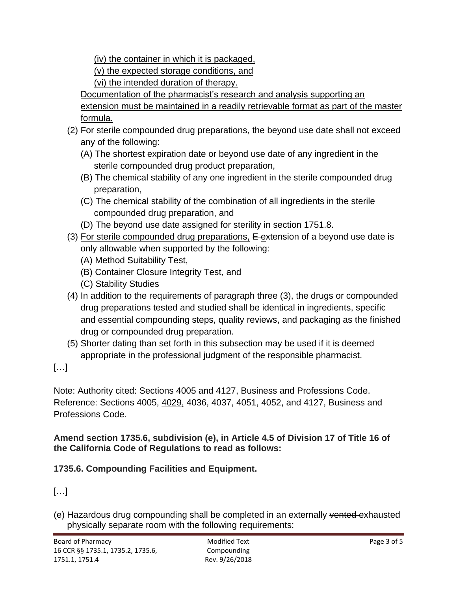(iv) the container in which it is packaged,

(v) the expected storage conditions, and

(vi) the intended duration of therapy.

Documentation of the pharmacist's research and analysis supporting an extension must be maintained in a readily retrievable format as part of the master formula.

- (2) For sterile compounded drug preparations, the beyond use date shall not exceed any of the following:
	- (A) The shortest expiration date or beyond use date of any ingredient in the sterile compounded drug product preparation,
	- (B) The chemical stability of any one ingredient in the sterile compounded drug preparation,
	- (C) The chemical stability of the combination of all ingredients in the sterile compounded drug preparation, and
	- (D) The beyond use date assigned for sterility in section 1751.8.
- (3) For sterile compounded drug preparations,  $E$ -extension of a beyond use date is only allowable when supported by the following:
	- (A) Method Suitability Test,
	- (B) Container Closure Integrity Test, and
	- (C) Stability Studies
- (4) In addition to the requirements of paragraph three (3), the drugs or compounded drug preparations tested and studied shall be identical in ingredients, specific and essential compounding steps, quality reviews, and packaging as the finished drug or compounded drug preparation.
- (5) Shorter dating than set forth in this subsection may be used if it is deemed appropriate in the professional judgment of the responsible pharmacist.

[…]

Note: Authority cited: Sections 4005 and 4127, Business and Professions Code. Reference: Sections 4005, 4029, 4036, 4037, 4051, 4052, and 4127, Business and Professions Code.

## **Amend section 1735.6, subdivision (e), in Article 4.5 of Division 17 of Title 16 of the California Code of Regulations to read as follows:**

## **1735.6. Compounding Facilities and Equipment.**

# […]

(e) Hazardous drug compounding shall be completed in an externally vented exhausted physically separate room with the following requirements: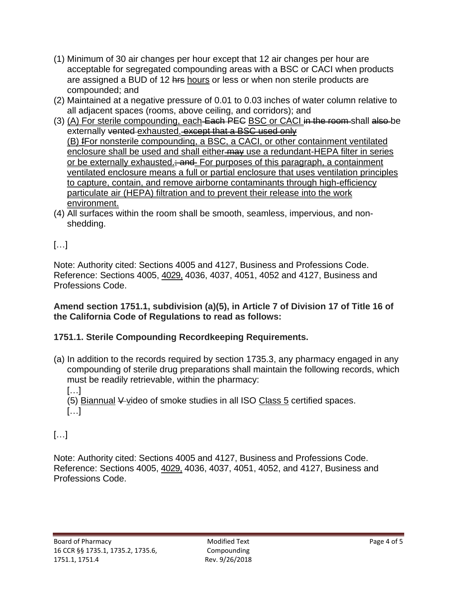- (1) Minimum of 30 air changes per hour except that 12 air changes per hour are acceptable for segregated compounding areas with a BSC or CACI when products are assigned a BUD of 12 hrs hours or less or when non sterile products are compounded; and
- (2) Maintained at a negative pressure of 0.01 to 0.03 inches of water column relative to all adjacent spaces (rooms, above ceiling, and corridors); and
- (3) (A) For sterile compounding, each Each PEC BSC or CACI in the room shall also be externally vented exhausted. except that a BSC used only (B) fFor nonsterile compounding, a BSC, a CACI, or other containment ventilated enclosure shall be used and shall either-may use a redundant-HEPA filter in series or be externally exhausted.<del>; and</del> For purposes of this paragraph, a containment ventilated enclosure means a full or partial enclosure that uses ventilation principles to capture, contain, and remove airborne contaminants through high-efficiency particulate air (HEPA) filtration and to prevent their release into the work environment.
- (4) All surfaces within the room shall be smooth, seamless, impervious, and nonshedding.

## […]

Note: Authority cited: Sections 4005 and 4127, Business and Professions Code. Reference: Sections 4005, 4029, 4036, 4037, 4051, 4052 and 4127, Business and Professions Code.

#### **Amend section 1751.1, subdivision (a)(5), in Article 7 of Division 17 of Title 16 of the California Code of Regulations to read as follows:**

### **1751.1. Sterile Compounding Recordkeeping Requirements.**

(a) In addition to the records required by section 1735.3, any pharmacy engaged in any compounding of sterile drug preparations shall maintain the following records, which must be readily retrievable, within the pharmacy:

[…]

[…] (5) Biannual  $\frac{1}{2}$  video of smoke studies in all ISO Class 5 certified spaces.

## […]

Note: Authority cited: Sections 4005 and 4127, Business and Professions Code. Reference: Sections 4005, 4029, 4036, 4037, 4051, 4052, and 4127, Business and Professions Code.